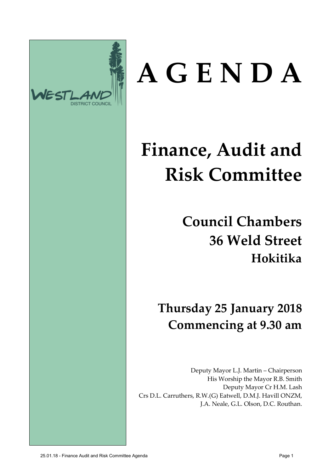

# **A G E N D A**

# **Finance, Audit and Risk Committee**

**Council Chambers 36 Weld Street Hokitika**

**Thursday 25 January 2018 Commencing at 9.30 am**

Deputy Mayor L.J. Martin – Chairperson His Worship the Mayor R.B. Smith Deputy Mayor Cr H.M. Lash Crs D.L. Carruthers, R.W.(G) Eatwell, D.M.J. Havill ONZM, J.A. Neale, G.L. Olson, D.C. Routhan.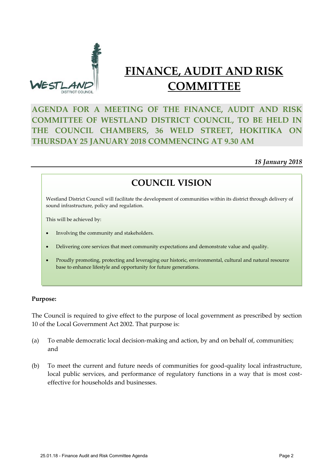

### **FINANCE, AUDIT AND RISK COMMITTEE**

#### **AGENDA FOR A MEETING OF THE FINANCE, AUDIT AND RISK COMMITTEE OF WESTLAND DISTRICT COUNCIL, TO BE HELD IN THE COUNCIL CHAMBERS, 36 WELD STREET, HOKITIKA ON THURSDAY 25 JANUARY 2018 COMMENCING AT 9.30 AM**

#### *18 January 2018*

#### **COUNCIL VISION**

Westland District Council will facilitate the development of communities within its district through delivery of sound infrastructure, policy and regulation.

This will be achieved by:

- Involving the community and stakeholders.
- Delivering core services that meet community expectations and demonstrate value and quality.
- Proudly promoting, protecting and leveraging our historic, environmental, cultural and natural resource base to enhance lifestyle and opportunity for future generations.

#### **Purpose:**

The Council is required to give effect to the purpose of local government as prescribed by section 10 of the Local Government Act 2002. That purpose is:

- (a) To enable democratic local decision-making and action, by and on behalf of, communities; and
- (b) To meet the current and future needs of communities for good-quality local infrastructure, local public services, and performance of regulatory functions in a way that is most costeffective for households and businesses.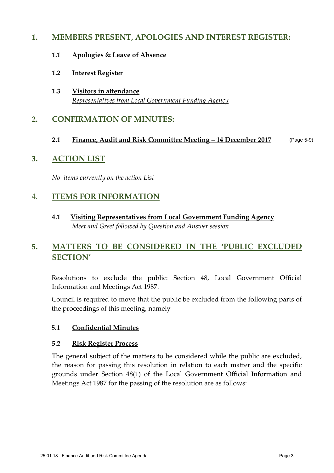#### **1. MEMBERS PRESENT, APOLOGIES AND INTEREST REGISTER:**

- **1.1 Apologies & Leave of Absence**
- **1.2 Interest Register**
- **1.3 Visitors in attendance** *Representatives from Local Government Funding Agency*

#### **2. CONFIRMATION OF MINUTES:**

#### **2.1 Finance, Audit and Risk Committee Meeting – 14 December 2017** (Page 5-9)

#### **3. ACTION LIST**

*No items currently on the action List*

#### 4. **ITEMS FOR INFORMATION**

**4.1 Visiting Representatives from Local Government Funding Agency** *Meet and Greet followed by Question and Answer session* 

#### **5. MATTERS TO BE CONSIDERED IN THE 'PUBLIC EXCLUDED SECTION'**

Resolutions to exclude the public: Section 48, Local Government Official Information and Meetings Act 1987.

Council is required to move that the public be excluded from the following parts of the proceedings of this meeting, namely

#### **5.1 Confidential Minutes**

#### **5.2 Risk Register Process**

The general subject of the matters to be considered while the public are excluded, the reason for passing this resolution in relation to each matter and the specific grounds under Section 48(1) of the Local Government Official Information and Meetings Act 1987 for the passing of the resolution are as follows: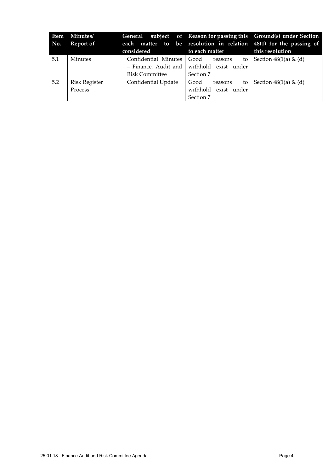| Item<br>No. | <b>Minutes/</b><br>Report of    | considered                                                              | to each matter                                             | General subject of Reason for passing this Ground(s) under Section<br>each matter to be resolution in relation 48(1) for the passing of<br>this resolution |
|-------------|---------------------------------|-------------------------------------------------------------------------|------------------------------------------------------------|------------------------------------------------------------------------------------------------------------------------------------------------------------|
| 5.1         | <b>Minutes</b>                  | Confidential Minutes<br>$-$ Finance, Audit and<br><b>Risk Committee</b> | Good<br>reasons<br>withhold exist under<br>Section 7       | to Section $48(1(a) \& (d)$                                                                                                                                |
| 5.2         | <b>Risk Register</b><br>Process | Confidential Update                                                     | Good<br>to<br>reasons<br>withhold exist under<br>Section 7 | Section $48(1(a) \& (d)$                                                                                                                                   |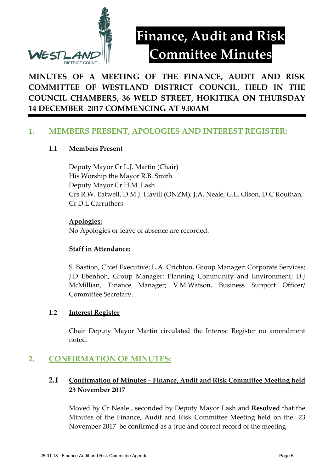

## **Finance, Audit and Risk Committee Minutes**

#### **MINUTES OF A MEETING OF THE FINANCE, AUDIT AND RISK COMMITTEE OF WESTLAND DISTRICT COUNCIL, HELD IN THE COUNCIL CHAMBERS, 36 WELD STREET, HOKITIKA ON THURSDAY 14 DECEMBER 2017 COMMENCING AT 9.00AM**

#### **1. MEMBERS PRESENT, APOLOGIES AND INTEREST REGISTER:**

#### **1.1 Members Present**

Deputy Mayor Cr L.J. Martin (Chair) His Worship the Mayor R.B. Smith Deputy Mayor Cr H.M. Lash Crs R.W. Eatwell, D.M.J. Havill (ONZM), J.A. Neale, G.L. Olson, D.C Routhan, Cr D.L Carruthers

#### **Apologies:**

No Apologies or leave of absence are recorded.

#### **Staff in Attendance:**

S. Bastion, Chief Executive; L.A. Crichton, Group Manager: Corporate Services; J.D Ebenhoh, Group Manager: Planning Community and Environment; D.J McMillian, Finance Manager; V.M.Watson, Business Support Officer/ Committee Secretary.

#### **1.2 Interest Register**

Chair Deputy Mayor Martin circulated the Interest Register no amendment noted.

#### **2. CONFIRMATION OF MINUTES:**

#### **2.1 Confirmation of Minutes – Finance, Audit and Risk Committee Meeting held 23 November 2017**

Moved by Cr Neale , seconded by Deputy Mayor Lash and **Resolved** that the Minutes of the Finance, Audit and Risk Committee Meeting held on the 23 November 2017 be confirmed as a true and correct record of the meeting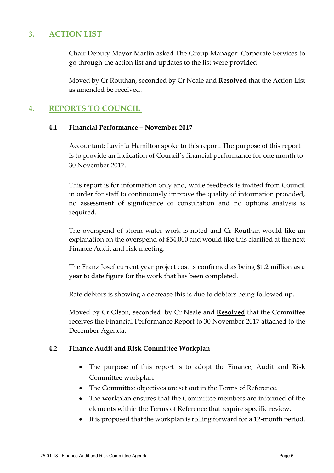#### **3. ACTION LIST**

Chair Deputy Mayor Martin asked The Group Manager: Corporate Services to go through the action list and updates to the list were provided.

Moved by Cr Routhan, seconded by Cr Neale and **Resolved** that the Action List as amended be received.

#### **4. REPORTS TO COUNCIL**

#### **4.1 Financial Performance – November 2017**

Accountant: Lavinia Hamilton spoke to this report. The purpose of this report is to provide an indication of Council's financial performance for one month to 30 November 2017.

This report is for information only and, while feedback is invited from Council in order for staff to continuously improve the quality of information provided, no assessment of significance or consultation and no options analysis is required.

The overspend of storm water work is noted and Cr Routhan would like an explanation on the overspend of \$54,000 and would like this clarified at the next Finance Audit and risk meeting.

The Franz Josef current year project cost is confirmed as being \$1.2 million as a year to date figure for the work that has been completed.

Rate debtors is showing a decrease this is due to debtors being followed up.

Moved by Cr Olson, seconded by Cr Neale and **Resolved** that the Committee receives the Financial Performance Report to 30 November 2017 attached to the December Agenda.

#### **4.2 Finance Audit and Risk Committee Workplan**

- The purpose of this report is to adopt the Finance, Audit and Risk Committee workplan.
- The Committee objectives are set out in the Terms of Reference.
- The workplan ensures that the Committee members are informed of the elements within the Terms of Reference that require specific review.
- It is proposed that the workplan is rolling forward for a 12-month period.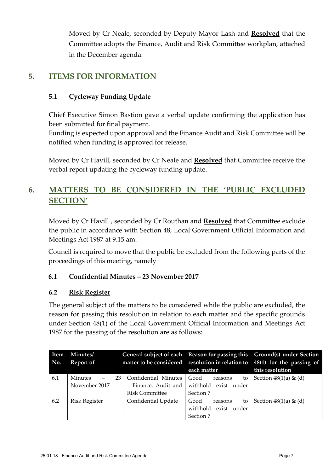Moved by Cr Neale, seconded by Deputy Mayor Lash and **Resolved** that the Committee adopts the Finance, Audit and Risk Committee workplan, attached in the December agenda.

#### **5. ITEMS FOR INFORMATION**

#### **5.1 Cycleway Funding Update**

Chief Executive Simon Bastion gave a verbal update confirming the application has been submitted for final payment.

Funding is expected upon approval and the Finance Audit and Risk Committee will be notified when funding is approved for release.

Moved by Cr Havill, seconded by Cr Neale and **Resolved** that Committee receive the verbal report updating the cycleway funding update.

#### **6. MATTERS TO BE CONSIDERED IN THE 'PUBLIC EXCLUDED SECTION'**

Moved by Cr Havill , seconded by Cr Routhan and **Resolved** that Committee exclude the public in accordance with Section 48, Local Government Official Information and Meetings Act 1987 at 9.15 am.

Council is required to move that the public be excluded from the following parts of the proceedings of this meeting, namely

#### **6.1 Confidential Minutes – 23 November 2017**

#### **6.2 Risk Register**

The general subject of the matters to be considered while the public are excluded, the reason for passing this resolution in relation to each matter and the specific grounds under Section 48(1) of the Local Government Official Information and Meetings Act 1987 for the passing of the resolution are as follows:

| Item<br>No. | Minutes/<br><b>Report of</b> |                       | each matter                | General subject of each Reason for passing this Ground(s) under Section<br>matter to be considered resolution in relation to 48(1) for the passing of<br>this resolution |
|-------------|------------------------------|-----------------------|----------------------------|--------------------------------------------------------------------------------------------------------------------------------------------------------------------------|
| 6.1         | 23.<br>Minutes               | Confidential Minutes  | Good<br>to<br>reasons      | Section $48(1(a) \& (d)$                                                                                                                                                 |
|             | November 2017                | - Finance, Audit and  | withhold<br>exist<br>under |                                                                                                                                                                          |
|             |                              | <b>Risk Committee</b> | Section 7                  |                                                                                                                                                                          |
| 6.2         | <b>Risk Register</b>         | Confidential Update   | Good<br>to<br>reasons      | Section $48(1(a) \& (d)$                                                                                                                                                 |
|             |                              |                       | withhold<br>exist<br>under |                                                                                                                                                                          |
|             |                              |                       | Section 7                  |                                                                                                                                                                          |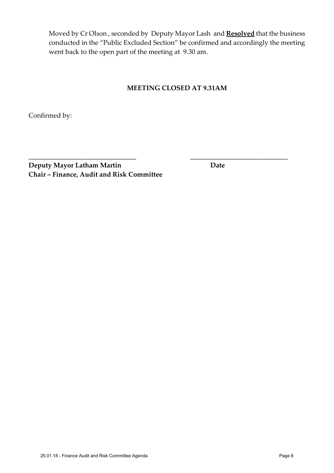Moved by Cr Olson , seconded by Deputy Mayor Lash and **Resolved** that the business conducted in the "Public Excluded Section" be confirmed and accordingly the meeting went back to the open part of the meeting at 9.30 am.

#### **MEETING CLOSED AT 9.31AM**

**\_\_\_\_\_\_\_\_\_\_\_\_\_\_\_\_\_\_\_\_\_\_\_\_\_\_\_\_\_\_\_\_ \_\_\_\_\_\_\_\_\_\_\_\_\_\_\_\_\_\_\_\_\_\_\_\_\_\_\_\_\_**

Confirmed by:

**Deputy Mayor Latham Martin Date Chair – Finance, Audit and Risk Committee**